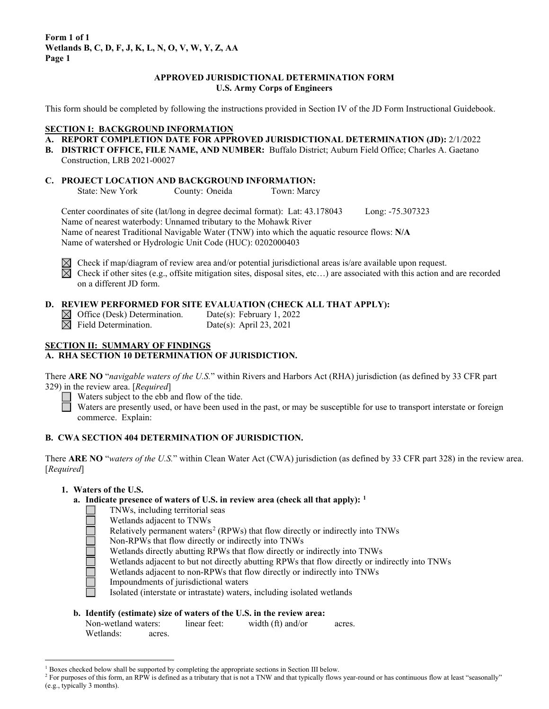### **APPROVED JURISDICTIONAL DETERMINATION FORM U.S. Army Corps of Engineers**

This form should be completed by following the instructions provided in Section IV of the JD Form Instructional Guidebook.

#### **SECTION I: BACKGROUND INFORMATION**

- **A. REPORT COMPLETION DATE FOR APPROVED JURISDICTIONAL DETERMINATION (JD):** 2/1/2022
- **B. DISTRICT OFFICE, FILE NAME, AND NUMBER:** Buffalo District; Auburn Field Office; Charles A. Gaetano Construction, LRB 2021-00027

## **C. PROJECT LOCATION AND BACKGROUND INFORMATION:**

State: New York County: Oneida Town: Marcy

Center coordinates of site (lat/long in degree decimal format): Lat: 43.178043 Long: -75.307323 Name of nearest waterbody: Unnamed tributary to the Mohawk River Name of nearest Traditional Navigable Water (TNW) into which the aquatic resource flows: **N/A** Name of watershed or Hydrologic Unit Code (HUC): 0202000403



 $\boxtimes$  Check if map/diagram of review area and/or potential jurisdictional areas is/are available upon request.  $\boxtimes$  Check if other sites (e.g., offsite mitigation sites, disposal sites, etc...) are associated with this action and are recorded on a different JD form.

### **D. REVIEW PERFORMED FOR SITE EVALUATION (CHECK ALL THAT APPLY):**

 $\boxtimes$  Office (Desk) Determination. Date(s): February 1, 2022<br>  $\boxtimes$  Field Determination. Date(s): April 23, 2021 Date(s): April 23, 2021

#### **SECTION II: SUMMARY OF FINDINGS A. RHA SECTION 10 DETERMINATION OF JURISDICTION.**

There **ARE NO** "*navigable waters of the U.S.*" within Rivers and Harbors Act (RHA) jurisdiction (as defined by 33 CFR part 329) in the review area. [*Required*]

Waters subject to the ebb and flow of the tide.

Waters are presently used, or have been used in the past, or may be susceptible for use to transport interstate or foreign commerce. Explain:

## **B. CWA SECTION 404 DETERMINATION OF JURISDICTION.**

There **ARE NO** "*waters of the U.S.*" within Clean Water Act (CWA) jurisdiction (as defined by 33 CFR part 328) in the review area. [*Required*]

### **1. Waters of the U.S.**

### **a. Indicate presence of waters of U.S. in review area (check all that apply): [1](#page-0-0)**

- TNWs, including territorial seas
	- Wetlands adjacent to TNWs
	- Relatively permanent waters<sup>[2](#page-0-1)</sup> (RPWs) that flow directly or indirectly into TNWs
- Non-RPWs that flow directly or indirectly into TNWs
- Wetlands directly abutting RPWs that flow directly or indirectly into TNWs
- Wetlands adjacent to but not directly abutting RPWs that flow directly or indirectly into TNWs
- Wetlands adjacent to non-RPWs that flow directly or indirectly into TNWs
- Impoundments of jurisdictional waters
- Isolated (interstate or intrastate) waters, including isolated wetlands

### **b. Identify (estimate) size of waters of the U.S. in the review area:**

| Non-wetland waters: |        | linear feet: | width (ft) and/or | acres. |
|---------------------|--------|--------------|-------------------|--------|
| Wetlands:           | acres. |              |                   |        |

<span id="page-0-0"></span> $1$  Boxes checked below shall be supported by completing the appropriate sections in Section III below.

<span id="page-0-1"></span><sup>&</sup>lt;sup>2</sup> For purposes of this form, an RPW is defined as a tributary that is not a TNW and that typically flows year-round or has continuous flow at least "seasonally" (e.g., typically 3 months).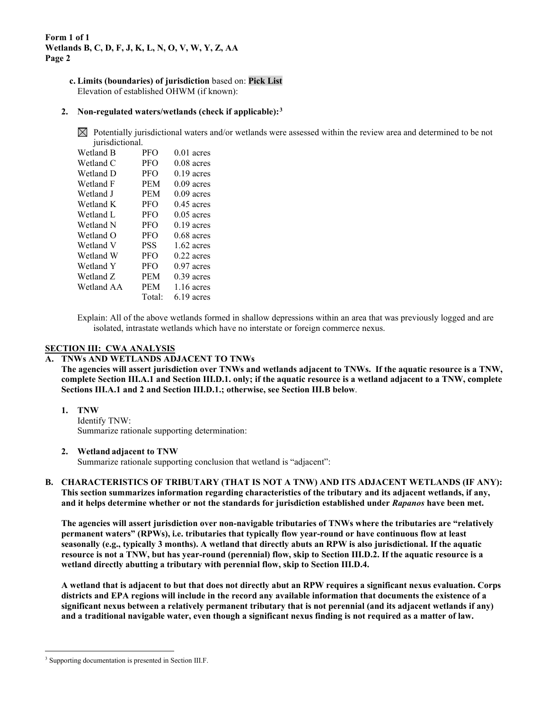> **c. Limits (boundaries) of jurisdiction** based on: **Pick List** Elevation of established OHWM (if known):

### **2. Non-regulated waters/wetlands (check if applicable):[3](#page-1-0)**

 $\boxtimes$  Potentially jurisdictional waters and/or wetlands were assessed within the review area and determined to be not jurisdictional.

| $\mu$      |            |              |
|------------|------------|--------------|
| Wetland B  | <b>PFO</b> | $0.01$ acres |
| Wetland C  | <b>PFO</b> | $0.08$ acres |
| Wetland D  | <b>PFO</b> | $0.19$ acres |
| Wetland F  | <b>PEM</b> | $0.09$ acres |
| Wetland J  | <b>PEM</b> | $0.09$ acres |
| Wetland K  | <b>PFO</b> | $0.45$ acres |
| Wetland L  | <b>PFO</b> | $0.05$ acres |
| Wetland N  | <b>PFO</b> | $0.19$ acres |
| Wetland O  | <b>PFO</b> | $0.68$ acres |
| Wetland V  | <b>PSS</b> | $1.62$ acres |
| Wetland W  | <b>PFO</b> | $0.22$ acres |
| Wetland Y  | <b>PFO</b> | $0.97$ acres |
| Wetland Z  | <b>PEM</b> | $0.39$ acres |
| Wetland AA | <b>PEM</b> | $1.16$ acres |
|            | Total:     | $6.19$ acres |

Explain: All of the above wetlands formed in shallow depressions within an area that was previously logged and are isolated, intrastate wetlands which have no interstate or foreign commerce nexus.

### **SECTION III: CWA ANALYSIS**

### **A. TNWs AND WETLANDS ADJACENT TO TNWs**

**The agencies will assert jurisdiction over TNWs and wetlands adjacent to TNWs. If the aquatic resource is a TNW, complete Section III.A.1 and Section III.D.1. only; if the aquatic resource is a wetland adjacent to a TNW, complete Sections III.A.1 and 2 and Section III.D.1.; otherwise, see Section III.B below**.

#### **1. TNW**

Identify TNW: Summarize rationale supporting determination:

#### **2. Wetland adjacent to TNW**

Summarize rationale supporting conclusion that wetland is "adjacent":

**B. CHARACTERISTICS OF TRIBUTARY (THAT IS NOT A TNW) AND ITS ADJACENT WETLANDS (IF ANY): This section summarizes information regarding characteristics of the tributary and its adjacent wetlands, if any, and it helps determine whether or not the standards for jurisdiction established under** *Rapanos* **have been met.** 

**The agencies will assert jurisdiction over non-navigable tributaries of TNWs where the tributaries are "relatively permanent waters" (RPWs), i.e. tributaries that typically flow year-round or have continuous flow at least seasonally (e.g., typically 3 months). A wetland that directly abuts an RPW is also jurisdictional. If the aquatic resource is not a TNW, but has year-round (perennial) flow, skip to Section III.D.2. If the aquatic resource is a wetland directly abutting a tributary with perennial flow, skip to Section III.D.4.** 

**A wetland that is adjacent to but that does not directly abut an RPW requires a significant nexus evaluation. Corps districts and EPA regions will include in the record any available information that documents the existence of a significant nexus between a relatively permanent tributary that is not perennial (and its adjacent wetlands if any) and a traditional navigable water, even though a significant nexus finding is not required as a matter of law.**

<span id="page-1-0"></span><sup>&</sup>lt;sup>3</sup> Supporting documentation is presented in Section III.F.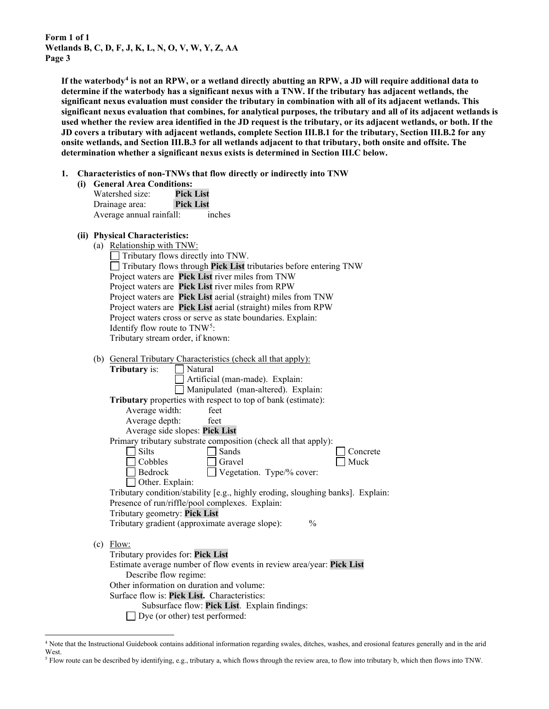**If the waterbody[4](#page-2-0) is not an RPW, or a wetland directly abutting an RPW, a JD will require additional data to determine if the waterbody has a significant nexus with a TNW. If the tributary has adjacent wetlands, the significant nexus evaluation must consider the tributary in combination with all of its adjacent wetlands. This significant nexus evaluation that combines, for analytical purposes, the tributary and all of its adjacent wetlands is used whether the review area identified in the JD request is the tributary, or its adjacent wetlands, or both. If the JD covers a tributary with adjacent wetlands, complete Section III.B.1 for the tributary, Section III.B.2 for any onsite wetlands, and Section III.B.3 for all wetlands adjacent to that tributary, both onsite and offsite. The determination whether a significant nexus exists is determined in Section III.C below.**

- **1. Characteristics of non-TNWs that flow directly or indirectly into TNW**
	- **(i) General Area Conditions:** Watershed size: **Pick List** Drainage area: **Pick List** Average annual rainfall: inches

# **(ii) Physical Characteristics:**

| IJ | THYSICAL CHALACTERIUS.                                                          |
|----|---------------------------------------------------------------------------------|
|    | (a) Relationship with TNW:                                                      |
|    | Tributary flows directly into TNW.                                              |
|    | Tributary flows through Pick List tributaries before entering TNW               |
|    | Project waters are Pick List river miles from TNW                               |
|    | Project waters are Pick List river miles from RPW                               |
|    | Project waters are Pick List aerial (straight) miles from TNW                   |
|    | Project waters are Pick List aerial (straight) miles from RPW                   |
|    | Project waters cross or serve as state boundaries. Explain:                     |
|    | Identify flow route to TNW <sup>5</sup> :                                       |
|    | Tributary stream order, if known:                                               |
|    |                                                                                 |
|    | (b) General Tributary Characteristics (check all that apply):                   |
|    | <b>Tributary</b> is:<br>    Natural                                             |
|    | Artificial (man-made). Explain:                                                 |
|    | Manipulated (man-altered). Explain:                                             |
|    | Tributary properties with respect to top of bank (estimate):                    |
|    | Average width:<br>feet                                                          |
|    | Average depth:<br>feet                                                          |
|    | Average side slopes: Pick List                                                  |
|    | Primary tributary substrate composition (check all that apply):                 |
|    | <b>Silts</b><br>Sands<br>Concrete                                               |
|    | Cobbles<br>Muck<br>Gravel                                                       |
|    | Bedrock<br>Vegetation. Type/% cover:                                            |
|    | Other. Explain:                                                                 |
|    | Tributary condition/stability [e.g., highly eroding, sloughing banks]. Explain: |
|    | Presence of run/riffle/pool complexes. Explain:                                 |
|    | Tributary geometry: Pick List                                                   |
|    | $\frac{0}{0}$<br>Tributary gradient (approximate average slope):                |
|    |                                                                                 |
|    | $(c)$ Flow:                                                                     |
|    | Tributary provides for: Pick List                                               |
|    | Estimate average number of flow events in review area/year: Pick List           |
|    | Describe flow regime:                                                           |
|    | Other information on duration and volume:                                       |
|    | Surface flow is: Pick List. Characteristics:                                    |
|    | Subsurface flow: Pick List. Explain findings:                                   |
|    | Dye (or other) test performed:                                                  |

<span id="page-2-0"></span><sup>4</sup> Note that the Instructional Guidebook contains additional information regarding swales, ditches, washes, and erosional features generally and in the arid West.

<span id="page-2-1"></span><sup>5</sup> Flow route can be described by identifying, e.g., tributary a, which flows through the review area, to flow into tributary b, which then flows into TNW.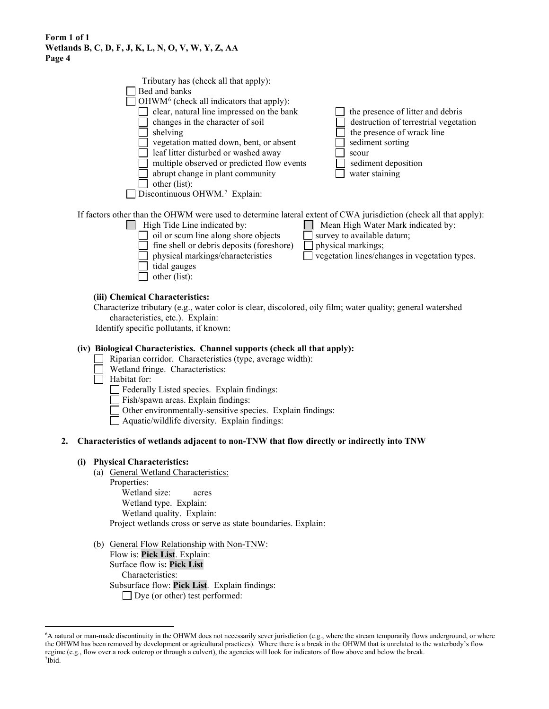| Tributary has (check all that apply):                                                                                                                                                                                                                                                                       |                                                                                                                                                                                |
|-------------------------------------------------------------------------------------------------------------------------------------------------------------------------------------------------------------------------------------------------------------------------------------------------------------|--------------------------------------------------------------------------------------------------------------------------------------------------------------------------------|
| Bed and banks                                                                                                                                                                                                                                                                                               |                                                                                                                                                                                |
| OHWM <sup>6</sup> (check all indicators that apply):                                                                                                                                                                                                                                                        |                                                                                                                                                                                |
| clear, natural line impressed on the bank<br>changes in the character of soil<br>shelving<br>vegetation matted down, bent, or absent<br>leaf litter disturbed or washed away<br>multiple observed or predicted flow events<br>abrupt change in plant community<br>other (list):                             | the presence of litter and debris<br>destruction of terrestrial vegetation<br>the presence of wrack line<br>sediment sorting<br>scour<br>sediment deposition<br>water staining |
| Discontinuous OHWM. <sup>7</sup> Explain:                                                                                                                                                                                                                                                                   |                                                                                                                                                                                |
| If factors other than the OHWM were used to determine lateral extent of CWA jurisdiction (check all that apply):<br>High Tide Line indicated by:<br>oil or scum line along shore objects<br>fine shell or debris deposits (foreshore)<br>physical markings/characteristics<br>tidal gauges<br>other (list): | Mean High Water Mark indicated by:<br>survey to available datum;<br>physical markings;<br>vegetation lines/changes in vegetation types.                                        |
| (iii) Chemical Characteristics:<br>Characterize tributary (e.g., water color is clear, discolored, oily film; water quality; general watershed<br>characteristics, etc.). Explain:                                                                                                                          |                                                                                                                                                                                |

Identify specific pollutants, if known:

#### **(iv) Biological Characteristics. Channel supports (check all that apply):**

- Riparian corridor. Characteristics (type, average width):
- Wetland fringe. Characteristics:
- Habitat for:
	- Federally Listed species. Explain findings:
	- Fish/spawn areas. Explain findings:
	- Other environmentally-sensitive species. Explain findings:
	- Aquatic/wildlife diversity. Explain findings:

#### **2. Characteristics of wetlands adjacent to non-TNW that flow directly or indirectly into TNW**

#### **(i) Physical Characteristics:**

- (a) General Wetland Characteristics:
	- Properties: Wetland size: acres Wetland type. Explain: Wetland quality. Explain: Project wetlands cross or serve as state boundaries. Explain:
- (b) General Flow Relationship with Non-TNW: Flow is: **Pick List**. Explain: Surface flow is**: Pick List**  Characteristics: Subsurface flow: **Pick List**. Explain findings: Dye (or other) test performed:

<span id="page-3-1"></span><span id="page-3-0"></span><sup>6</sup> A natural or man-made discontinuity in the OHWM does not necessarily sever jurisdiction (e.g., where the stream temporarily flows underground, or where the OHWM has been removed by development or agricultural practices). Where there is a break in the OHWM that is unrelated to the waterbody's flow regime (e.g., flow over a rock outcrop or through a culvert), the agencies will look for indicators of flow above and below the break. 7 Ibid.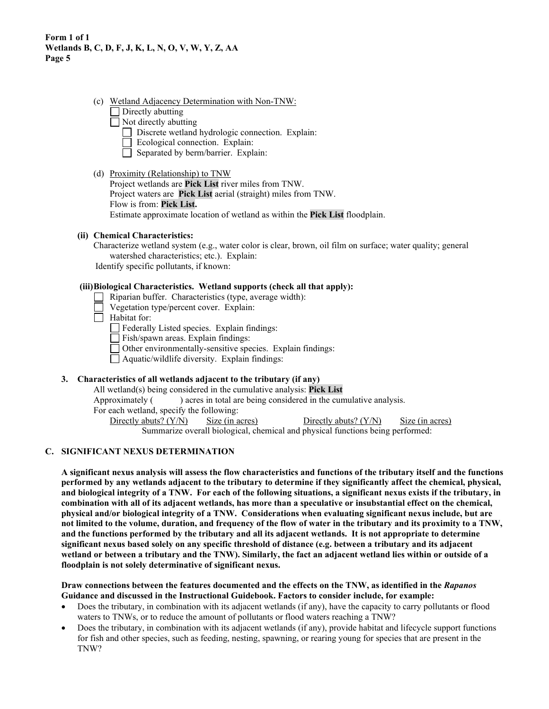- (c) Wetland Adjacency Determination with Non-TNW:
	- $\Box$  Directly abutting
	- $\Box$  Not directly abutting
		- Discrete wetland hydrologic connection. Explain:
		- Ecological connection. Explain:
		- Separated by berm/barrier. Explain:
- (d) Proximity (Relationship) to TNW

Project wetlands are **Pick List** river miles from TNW. Project waters are **Pick List** aerial (straight) miles from TNW. Flow is from: **Pick List.** Estimate approximate location of wetland as within the **Pick List** floodplain.

### **(ii) Chemical Characteristics:**

Characterize wetland system (e.g., water color is clear, brown, oil film on surface; water quality; general watershed characteristics; etc.). Explain:

Identify specific pollutants, if known:

### **(iii)Biological Characteristics. Wetland supports (check all that apply):**

- $\Box$ Riparian buffer. Characteristics (type, average width):
- Vegetation type/percent cover. Explain:
- $\Box$  Habitat for:

Federally Listed species. Explain findings:

 $\Box$  Fish/spawn areas. Explain findings:

Other environmentally-sensitive species. Explain findings:

 $\Box$  Aquatic/wildlife diversity. Explain findings:

## **3. Characteristics of all wetlands adjacent to the tributary (if any)**

All wetland(s) being considered in the cumulative analysis: **Pick List**

Approximately () acres in total are being considered in the cumulative analysis.

For each wetland, specify the following:

Directly abuts? (Y/N) Size (in acres) Directly abuts? (Y/N) Size (in acres) Summarize overall biological, chemical and physical functions being performed:

### **C. SIGNIFICANT NEXUS DETERMINATION**

**A significant nexus analysis will assess the flow characteristics and functions of the tributary itself and the functions performed by any wetlands adjacent to the tributary to determine if they significantly affect the chemical, physical, and biological integrity of a TNW. For each of the following situations, a significant nexus exists if the tributary, in combination with all of its adjacent wetlands, has more than a speculative or insubstantial effect on the chemical, physical and/or biological integrity of a TNW. Considerations when evaluating significant nexus include, but are not limited to the volume, duration, and frequency of the flow of water in the tributary and its proximity to a TNW, and the functions performed by the tributary and all its adjacent wetlands. It is not appropriate to determine significant nexus based solely on any specific threshold of distance (e.g. between a tributary and its adjacent wetland or between a tributary and the TNW). Similarly, the fact an adjacent wetland lies within or outside of a floodplain is not solely determinative of significant nexus.** 

**Draw connections between the features documented and the effects on the TNW, as identified in the** *Rapanos* **Guidance and discussed in the Instructional Guidebook. Factors to consider include, for example:**

- Does the tributary, in combination with its adjacent wetlands (if any), have the capacity to carry pollutants or flood waters to TNWs, or to reduce the amount of pollutants or flood waters reaching a TNW?
- Does the tributary, in combination with its adjacent wetlands (if any), provide habitat and lifecycle support functions for fish and other species, such as feeding, nesting, spawning, or rearing young for species that are present in the TNW?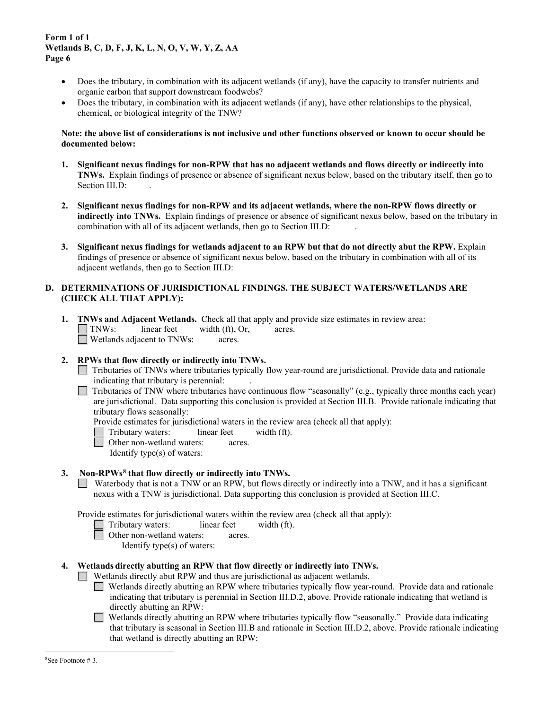- Does the tributary, in combination with its adjacent wetlands (if any), have the capacity to transfer nutrients and organic carbon that support downstream foodwebs?
- Does the tributary, in combination with its adjacent wetlands (if any), have other relationships to the physical, chemical, or biological integrity of the TNW?

### **Note: the above list of considerations is not inclusive and other functions observed or known to occur should be documented below:**

- **1. Significant nexus findings for non-RPW that has no adjacent wetlands and flows directly or indirectly into TNWs.** Explain findings of presence or absence of significant nexus below, based on the tributary itself, then go to Section III.D:
- **2. Significant nexus findings for non-RPW and its adjacent wetlands, where the non-RPW flows directly or indirectly into TNWs.** Explain findings of presence or absence of significant nexus below, based on the tributary in combination with all of its adjacent wetlands, then go to Section III.D: .
- **3. Significant nexus findings for wetlands adjacent to an RPW but that do not directly abut the RPW.** Explain findings of presence or absence of significant nexus below, based on the tributary in combination with all of its adjacent wetlands, then go to Section III.D:

## **D. DETERMINATIONS OF JURISDICTIONAL FINDINGS. THE SUBJECT WATERS/WETLANDS ARE (CHECK ALL THAT APPLY):**

- **1. TNWs and Adjacent Wetlands.** Check all that apply and provide size estimates in review area: TNWs: linear feet width (ft), Or, acres. Wetlands adjacent to TNWs: acres.
- **2. RPWs that flow directly or indirectly into TNWs.**
	- Tributaries of TNWs where tributaries typically flow year-round are jurisdictional. Provide data and rationale indicating that tributary is perennial: .
	- Tributaries of TNW where tributaries have continuous flow "seasonally" (e.g., typically three months each year) are jurisdictional. Data supporting this conclusion is provided at Section III.B. Provide rationale indicating that tributary flows seasonally:

Provide estimates for jurisdictional waters in the review area (check all that apply):

Tributary waters: linear feet width (ft).

Other non-wetland waters: acres.

Identify type(s) of waters:

### **3. Non-RPWs[8](#page-5-0) that flow directly or indirectly into TNWs.**

Waterbody that is not a TNW or an RPW, but flows directly or indirectly into a TNW, and it has a significant nexus with a TNW is jurisdictional. Data supporting this conclusion is provided at Section III.C.

Provide estimates for jurisdictional waters within the review area (check all that apply):

- Tributary waters: linear feet width (ft).
- Other non-wetland waters: acres.
	- Identify type(s) of waters:

### <span id="page-5-0"></span>**4. Wetlands directly abutting an RPW that flow directly or indirectly into TNWs.**

- Wetlands directly abut RPW and thus are jurisdictional as adjacent wetlands.
	- $\Box$ Wetlands directly abutting an RPW where tributaries typically flow year-round. Provide data and rationale indicating that tributary is perennial in Section III.D.2, above. Provide rationale indicating that wetland is directly abutting an RPW:
	- $\Box$ Wetlands directly abutting an RPW where tributaries typically flow "seasonally." Provide data indicating that tributary is seasonal in Section III.B and rationale in Section III.D.2, above. Provide rationale indicating that wetland is directly abutting an RPW: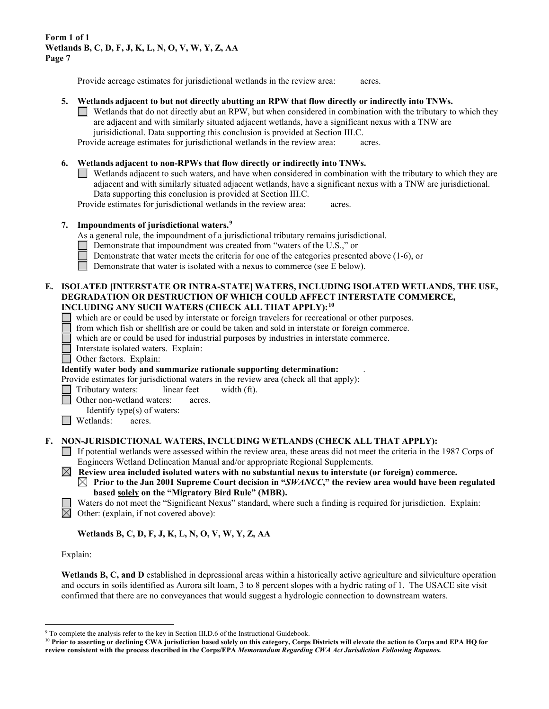Provide acreage estimates for jurisdictional wetlands in the review area: acres.

#### **5. Wetlands adjacent to but not directly abutting an RPW that flow directly or indirectly into TNWs.**

Wetlands that do not directly abut an RPW, but when considered in combination with the tributary to which they are adjacent and with similarly situated adjacent wetlands, have a significant nexus with a TNW are jurisidictional. Data supporting this conclusion is provided at Section III.C.

Provide acreage estimates for jurisdictional wetlands in the review area: acres.

#### **6. Wetlands adjacent to non-RPWs that flow directly or indirectly into TNWs.**

Wetlands adjacent to such waters, and have when considered in combination with the tributary to which they are adjacent and with similarly situated adjacent wetlands, have a significant nexus with a TNW are jurisdictional. Data supporting this conclusion is provided at Section III.C.

Provide estimates for jurisdictional wetlands in the review area: acres.

#### **7. Impoundments of jurisdictional waters. [9](#page-6-0)**

As a general rule, the impoundment of a jurisdictional tributary remains jurisdictional.

- Demonstrate that impoundment was created from "waters of the U.S.," or
- Demonstrate that water meets the criteria for one of the categories presented above (1-6), or
- Demonstrate that water is isolated with a nexus to commerce (see E below).

#### **E. ISOLATED [INTERSTATE OR INTRA-STATE] WATERS, INCLUDING ISOLATED WETLANDS, THE USE, DEGRADATION OR DESTRUCTION OF WHICH COULD AFFECT INTERSTATE COMMERCE, INCLUDING ANY SUCH WATERS (CHECK ALL THAT APPLY):[10](#page-6-1)**

- which are or could be used by interstate or foreign travelers for recreational or other purposes.
- from which fish or shellfish are or could be taken and sold in interstate or foreign commerce.
- which are or could be used for industrial purposes by industries in interstate commerce.
- Interstate isolated waters.Explain:

Other factors.Explain:

#### **Identify water body and summarize rationale supporting determination:** .

Provide estimates for jurisdictional waters in the review area (check all that apply):

- Tributary waters: linear feet width (ft).
- Other non-wetland waters: acres.
- Identify type(s) of waters:
- **I** Wetlands: acres.

#### **F. NON-JURISDICTIONAL WATERS, INCLUDING WETLANDS (CHECK ALL THAT APPLY):**

If potential wetlands were assessed within the review area, these areas did not meet the criteria in the 1987 Corps of Engineers Wetland Delineation Manual and/or appropriate Regional Supplements.

 **Review area included isolated waters with no substantial nexus to interstate (or foreign) commerce. Prior to the Jan 2001 Supreme Court decision in "***SWANCC***," the review area would have been regulated based solely on the "Migratory Bird Rule" (MBR).** 

- Waters do not meet the "Significant Nexus" standard, where such a finding is required for jurisdiction. Explain:
- $\boxtimes$  Other: (explain, if not covered above):

#### **Wetlands B, C, D, F, J, K, L, N, O, V, W, Y, Z, AA**

#### Explain:

Wetlands B, C, and D established in depressional areas within a historically active agriculture and silviculture operation and occurs in soils identified as Aurora silt loam, 3 to 8 percent slopes with a hydric rating of 1. The USACE site visit confirmed that there are no conveyances that would suggest a hydrologic connection to downstream waters.

<sup>&</sup>lt;sup>9</sup> To complete the analysis refer to the key in Section III.D.6 of the Instructional Guidebook.

<span id="page-6-1"></span><span id="page-6-0"></span>**<sup>10</sup> Prior to asserting or declining CWA jurisdiction based solely on this category, Corps Districts will elevate the action to Corps and EPA HQ for review consistent with the process described in the Corps/EPA** *Memorandum Regarding CWA Act Jurisdiction Following Rapanos.*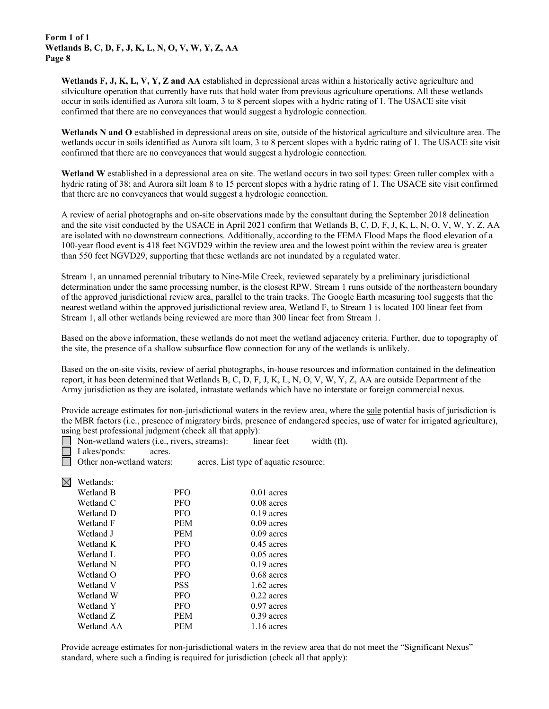**Wetlands F, J, K, L, V, Y, Z and AA** established in depressional areas within a historically active agriculture and silviculture operation that currently have ruts that hold water from previous agriculture operations. All these wetlands occur in soils identified as Aurora silt loam, 3 to 8 percent slopes with a hydric rating of 1. The USACE site visit confirmed that there are no conveyances that would suggest a hydrologic connection.

**Wetlands N and O** established in depressional areas on site, outside of the historical agriculture and silviculture area. The wetlands occur in soils identified as Aurora silt loam, 3 to 8 percent slopes with a hydric rating of 1. The USACE site visit confirmed that there are no conveyances that would suggest a hydrologic connection.

**Wetland W** established in a depressional area on site. The wetland occurs in two soil types: Green tuller complex with a hydric rating of 38; and Aurora silt loam 8 to 15 percent slopes with a hydric rating of 1. The USACE site visit confirmed that there are no conveyances that would suggest a hydrologic connection.

A review of aerial photographs and on-site observations made by the consultant during the September 2018 delineation and the site visit conducted by the USACE in April 2021 confirm that Wetlands B, C, D, F, J, K, L, N, O, V, W, Y, Z, AA are isolated with no downstream connections. Additionally, according to the FEMA Flood Maps the flood elevation of a 100-year flood event is 418 feet NGVD29 within the review area and the lowest point within the review area is greater than 550 feet NGVD29, supporting that these wetlands are not inundated by a regulated water.

Stream 1, an unnamed perennial tributary to Nine-Mile Creek, reviewed separately by a preliminary jurisdictional determination under the same processing number, is the closest RPW. Stream 1 runs outside of the northeastern boundary of the approved jurisdictional review area, parallel to the train tracks. The Google Earth measuring tool suggests that the nearest wetland within the approved jurisdictional review area, Wetland F, to Stream 1 is located 100 linear feet from Stream 1, all other wetlands being reviewed are more than 300 linear feet from Stream 1.

Based on the above information, these wetlands do not meet the wetland adjacency criteria. Further, due to topography of the site, the presence of a shallow subsurface flow connection for any of the wetlands is unlikely.

Based on the on-site visits, review of aerial photographs, in-house resources and information contained in the delineation report, it has been determined that Wetlands B, C, D, F, J, K, L, N, O, V, W, Y, Z, AA are outside Department of the Army jurisdiction as they are isolated, intrastate wetlands which have no interstate or foreign commercial nexus.

Provide acreage estimates for non-jurisdictional waters in the review area, where the sole potential basis of jurisdiction is the MBR factors (i.e., presence of migratory birds, presence of endangered species, use of water for irrigated agriculture), using best professional judgment (check all that apply):

| Non-wetland waters (i.e., rivers, streams): | linear feet | width (ft). |
|---------------------------------------------|-------------|-------------|
| Lakes/ponds:<br>acres.                      |             |             |
|                                             |             |             |

Other non-wetland waters: acres. List type of aquatic resource:

 $\boxtimes$  Wetlands:

⋤

| vv Ulianus. |            |              |
|-------------|------------|--------------|
| Wetland B   | <b>PFO</b> | $0.01$ acres |
| Wetland C   | <b>PFO</b> | $0.08$ acres |
| Wetland D   | <b>PFO</b> | $0.19$ acres |
| Wetland F   | <b>PEM</b> | $0.09$ acres |
| Wetland J   | <b>PEM</b> | $0.09$ acres |
| Wetland K   | <b>PFO</b> | $0.45$ acres |
| Wetland L   | <b>PFO</b> | $0.05$ acres |
| Wetland N   | <b>PFO</b> | $0.19$ acres |
| Wetland O   | <b>PFO</b> | $0.68$ acres |
| Wetland V   | <b>PSS</b> | $1.62$ acres |
| Wetland W   | <b>PFO</b> | $0.22$ acres |
| Wetland Y   | <b>PFO</b> | $0.97$ acres |
| Wetland Z   | <b>PEM</b> | $0.39$ acres |
| Wetland AA  | PEM        | 1.16 acres   |

Provide acreage estimates for non-jurisdictional waters in the review area that do not meet the "Significant Nexus" standard, where such a finding is required for jurisdiction (check all that apply):